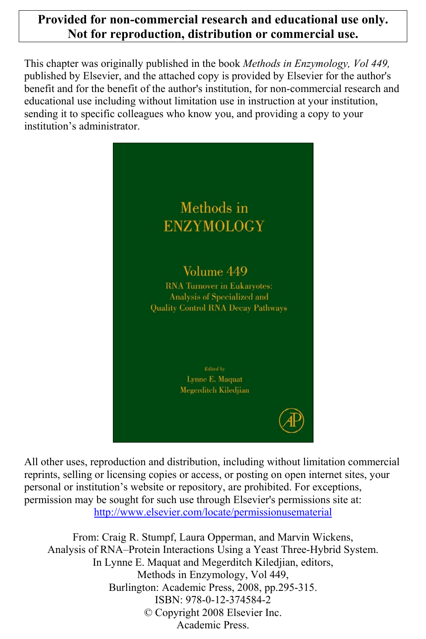# **Provided for non-commercial research and educational use only. Not for reproduction, distribution or commercial use.**

This chapter was originally published in the book *Methods in Enzymology, Vol 449,* published by Elsevier, and the attached copy is provided by Elsevier for the author's benefit and for the benefit of the author's institution, for non-commercial research and educational use including without limitation use in instruction at your institution, sending it to specific colleagues who know you, and providing a copy to your institution's administrator.



All other uses, reproduction and distribution, including without limitation commercial reprints, selling or licensing copies or access, or posting on open internet sites, your personal or institution's website or repository, are prohibited. For exceptions, permission may be sought for such use through Elsevier's permissions site at: http://www.elsevier.com/locate/permissionusematerial

From: Craig R. Stumpf, Laura Opperman, and Marvin Wickens, Analysis of RNA–Protein Interactions Using a Yeast Three-Hybrid System. In Lynne E. Maquat and Megerditch Kiledjian, editors, Methods in Enzymology, Vol 449, Burlington: Academic Press, 2008, pp.295-315. ISBN: 978-0-12-374584-2 © Copyright 2008 Elsevier Inc. Academic Press.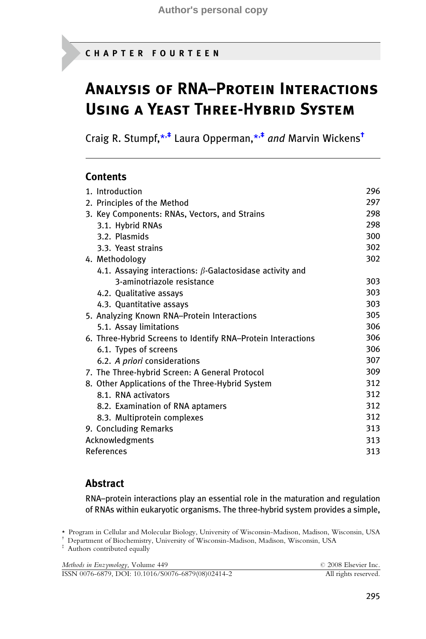### CHAPTER FOURTEEN

# Analysis of RNA–Protein Interactions Using a Yeast Three-Hybrid System

Craig R. Stumpf,<sup>\*,\*</sup> Laura Opperman,<sup>\*,\*</sup> and Marvin Wickens<sup>†</sup>

#### **Contents**

| 1. Introduction                                                 | 296 |
|-----------------------------------------------------------------|-----|
| 2. Principles of the Method                                     | 297 |
| 3. Key Components: RNAs, Vectors, and Strains                   | 298 |
| 3.1. Hybrid RNAs                                                | 298 |
| 3.2. Plasmids                                                   | 300 |
| 3.3. Yeast strains                                              | 302 |
| 4. Methodology                                                  | 302 |
| 4.1. Assaying interactions: $\beta$ -Galactosidase activity and |     |
| 3-aminotriazole resistance                                      | 303 |
| 4.2. Qualitative assays                                         | 303 |
| 4.3. Quantitative assays                                        | 303 |
| 5. Analyzing Known RNA–Protein Interactions                     | 305 |
| 5.1. Assay limitations                                          | 306 |
| 6. Three-Hybrid Screens to Identify RNA–Protein Interactions    | 306 |
| 6.1. Types of screens                                           | 306 |
| 6.2. A <i>priori</i> considerations                             | 307 |
| 7. The Three-hybrid Screen: A General Protocol                  | 309 |
| 8. Other Applications of the Three-Hybrid System                | 312 |
| 8.1. RNA activators                                             | 312 |
| 8.2. Examination of RNA aptamers                                | 312 |
| 8.3. Multiprotein complexes                                     | 312 |
| 9. Concluding Remarks                                           | 313 |
| Acknowledgments                                                 | 313 |
| References                                                      | 313 |

#### **Abstract**

Abstract RNA–protein interactions play an essential role in the maturation and regulation of RNAs within eukaryotic organisms. The three-hybrid system provides a simple,

\* Program in Cellular and Molecular Biology, University of Wisconsin-Madison, Madison, Wisconsin, USA { Department of Biochemistry, University of Wisconsin-Madison, Madison, Wisconsin, USA { Authors contributed equally

Methods in Enzymology, Volume 449 # 2008 Elsevier Inc.

ISSN 0076-6879, DOI: 10.1016/S0076-6879(08)02414-2 All rights reserved.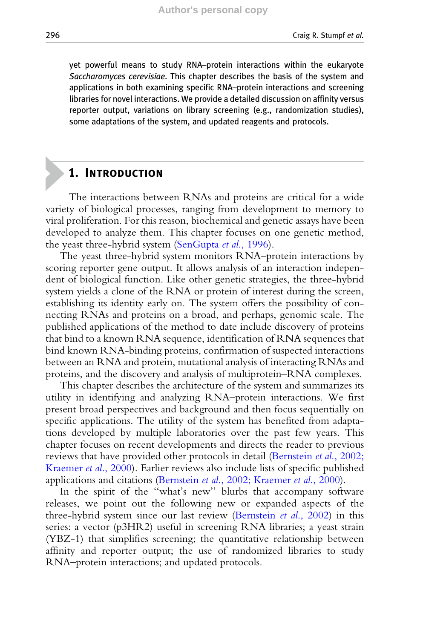yet powerful means to study RNA–protein interactions within the eukaryote Saccharomyces cerevisiae. This chapter describes the basis of the system and applications in both examining specific RNA–protein interactions and screening libraries for novel interactions. We provide a detailed discussion on affinity versus reporter output, variations on library screening (e.g., randomization studies), some adaptations of the system, and updated reagents and protocols.

#### 1. Introduction

The interactions between RNAs and proteins are critical for a wide variety of biological processes, ranging from development to memory to viral proliferation. For this reason, biochemical and genetic assays have been developed to analyze them. This chapter focuses on one genetic method, the yeast three-hybrid system [\(SenGupta](#page-21-0) *et al.*, 1996).

The yeast three-hybrid system monitors RNA–protein interactions by scoring reporter gene output. It allows analysis of an interaction independent of biological function. Like other genetic strategies, the three-hybrid system yields a clone of the RNA or protein of interest during the screen, establishing its identity early on. The system offers the possibility of connecting RNAs and proteins on a broad, and perhaps, genomic scale. The published applications of the method to date include discovery of proteins that bind to a known RNA sequence, identification of RNA sequences that bind known RNA-binding proteins, confirmation of suspected interactions between an RNA and protein, mutational analysis of interacting RNAs and proteins, and the discovery and analysis of multiprotein–RNA complexes.

This chapter describes the architecture of the system and summarizes its utility in identifying and analyzing RNA–protein interactions. We first present broad perspectives and background and then focus sequentially on specific applications. The utility of the system has benefited from adaptations developed by multiple laboratories over the past few years. This chapter focuses on recent developments and directs the reader to previous reviews that have provided other protocols in detail ([Bernstein](#page-19-0) et al., 2002; [Kraemer](#page-19-0) et al., 2000). Earlier reviews also include lists of specific published applications and citations (Bernstein et al[., 2002; Kraemer](#page-19-0) et al., 2000).

In the spirit of the ''what's new'' blurbs that accompany software releases, we point out the following new or expanded aspects of the three-hybrid system since our last review ([Bernstein](#page-19-0) et al., 2002) in this series: a vector (p3HR2) useful in screening RNA libraries; a yeast strain (YBZ-1) that simplifies screening; the quantitative relationship between affinity and reporter output; the use of randomized libraries to study RNA–protein interactions; and updated protocols.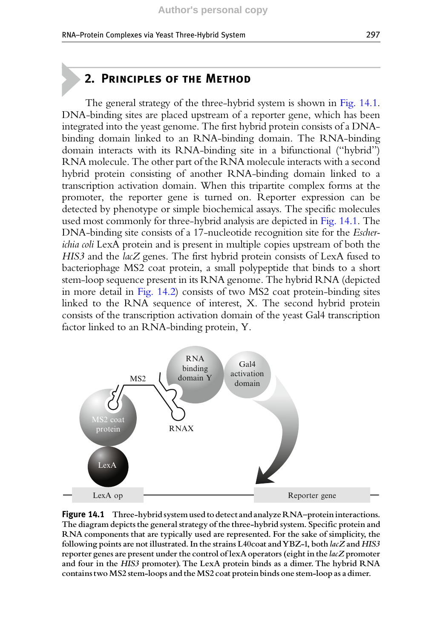#### 2. Principles of the Method

The general strategy of the three-hybrid system is shown in Fig. 14.1. DNA-binding sites are placed upstream of a reporter gene, which has been integrated into the yeast genome. The first hybrid protein consists of a DNAbinding domain linked to an RNA-binding domain. The RNA-binding domain interacts with its RNA-binding site in a bifunctional (''hybrid'') RNA molecule. The other part of the RNA molecule interacts with a second hybrid protein consisting of another RNA-binding domain linked to a transcription activation domain. When this tripartite complex forms at the promoter, the reporter gene is turned on. Reporter expression can be detected by phenotype or simple biochemical assays. The specific molecules used most commonly for three-hybrid analysis are depicted in Fig. 14.1. The DNA-binding site consists of a 17-nucleotide recognition site for the *Escher*ichia coli LexA protein and is present in multiple copies upstream of both the HIS3 and the lacZ genes. The first hybrid protein consists of LexA fused to bacteriophage MS2 coat protein, a small polypeptide that binds to a short stem-loop sequence present in its RNA genome. The hybrid RNA (depicted in more detail in [Fig. 14.2\)](#page-4-0) consists of two MS2 coat protein-binding sites linked to the RNA sequence of interest, X. The second hybrid protein consists of the transcription activation domain of the yeast Gal4 transcription factor linked to an RNA-binding protein, Y.



Figure 14.1 Three-hybrid system used to detect and analyze RNA-protein interactions. The diagram depicts the general strategy of the three-hybrid system. Specific protein and RNA components that are typically used are represented. For the sake of simplicity, the following points are not illustrated. In the strains L40coat and YBZ-1, both lacZ and HIS3 reporter genes are present under the control of lexA operators (eight in the lacZ promoter and four in the HIS3 promoter). The LexA protein binds as a dimer. The hybrid RNA contains two MS2 stem-loops and the MS2 coat protein binds one stem-loop as a dimer.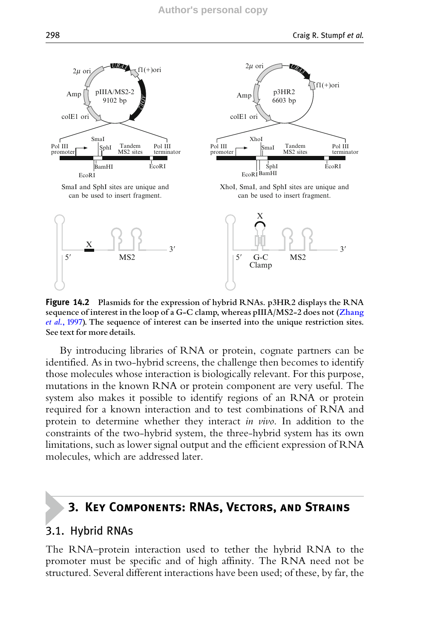*<sup>U</sup>RA<sup>3</sup>*

<span id="page-4-0"></span>

SmaI and SphI sites are unique and can be used to insert fragment.



2*m* ori

can be used to insert fragment.



Figure <sup>14</sup>.<sup>2</sup> Plasmids for the expression of hybrid RNAs. p3HR2 displays the RNA sequence of interest in the loop of a G-C clamp, whereas pIIIA/MS2-2 does not [\(Zhang](#page-21-0) et al[., 1997\)](#page-21-0). The sequence of interest can be inserted into the unique restriction sites. See text for more details.

By introducing libraries of RNA or protein, cognate partners can be identified. As in two-hybrid screens, the challenge then becomes to identify those molecules whose interaction is biologically relevant. For this purpose, mutations in the known RNA or protein component are very useful. The system also makes it possible to identify regions of an RNA or protein required for a known interaction and to test combinations of RNA and protein to determine whether they interact in vivo. In addition to the constraints of the two-hybrid system, the three-hybrid system has its own limitations, such as lower signal output and the efficient expression of RNA molecules, which are addressed later.

### 3. Key Components: RNAs, Vectors, and Strains

#### 3.1. Hybrid RNAs

The RNA–protein interaction used to tether the hybrid RNA to the promoter must be specific and of high affinity. The RNA need not be structured. Several different interactions have been used; of these, by far, the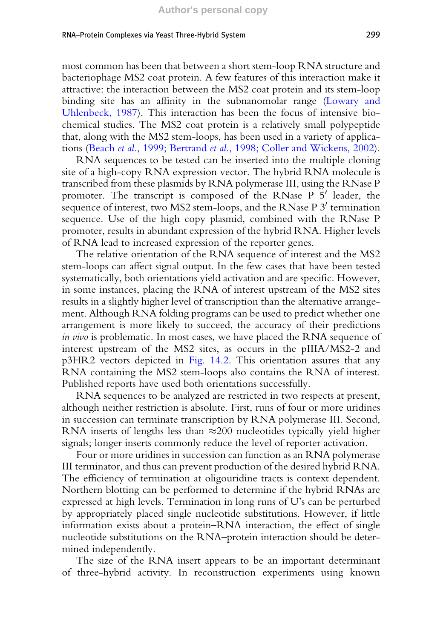most common has been that between a short stem-loop RNA structure and bacteriophage MS2 coat protein. A few features of this interaction make it attractive: the interaction between the MS2 coat protein and its stem-loop binding site has an affinity in the subnanomolar range ([Lowary and](#page-20-0) [Uhlenbeck, 1987](#page-20-0)). This interaction has been the focus of intensive biochemical studies. The MS2 coat protein is a relatively small polypeptide that, along with the MS2 stem-loops, has been used in a variety of applica-tions (Beach et al., 1999; Bertrand et al[., 1998; Coller and Wickens, 2002](#page-19-0)).

RNA sequences to be tested can be inserted into the multiple cloning site of a high-copy RNA expression vector. The hybrid RNA molecule is transcribed from these plasmids by RNA polymerase III, using the RNase P promoter. The transcript is composed of the RNase  $P_5'$  leader, the sequence of interest, two MS2 stem-loops, and the RNase P  $3'$  termination sequence. Use of the high copy plasmid, combined with the RNase P promoter, results in abundant expression of the hybrid RNA. Higher levels of RNA lead to increased expression of the reporter genes.

The relative orientation of the RNA sequence of interest and the MS2 stem-loops can affect signal output. In the few cases that have been tested systematically, both orientations yield activation and are specific. However, in some instances, placing the RNA of interest upstream of the MS2 sites results in a slightly higher level of transcription than the alternative arrangement. Although RNA folding programs can be used to predict whether one arrangement is more likely to succeed, the accuracy of their predictions in vivo is problematic. In most cases, we have placed the RNA sequence of interest upstream of the MS2 sites, as occurs in the pIIIA/MS2-2 and p3HR2 vectors depicted in [Fig. 14.2.](#page-4-0) This orientation assures that any RNA containing the MS2 stem-loops also contains the RNA of interest. Published reports have used both orientations successfully.

RNA sequences to be analyzed are restricted in two respects at present, although neither restriction is absolute. First, runs of four or more uridines in succession can terminate transcription by RNA polymerase III. Second, RNA inserts of lengths less than  $\approx$ 200 nucleotides typically yield higher signals; longer inserts commonly reduce the level of reporter activation.

Four or more uridines in succession can function as an RNA polymerase III terminator, and thus can prevent production of the desired hybrid RNA. The efficiency of termination at oligouridine tracts is context dependent. Northern blotting can be performed to determine if the hybrid RNAs are expressed at high levels. Termination in long runs of U's can be perturbed by appropriately placed single nucleotide substitutions. However, if little information exists about a protein–RNA interaction, the effect of single nucleotide substitutions on the RNA–protein interaction should be determined independently.

The size of the RNA insert appears to be an important determinant of three-hybrid activity. In reconstruction experiments using known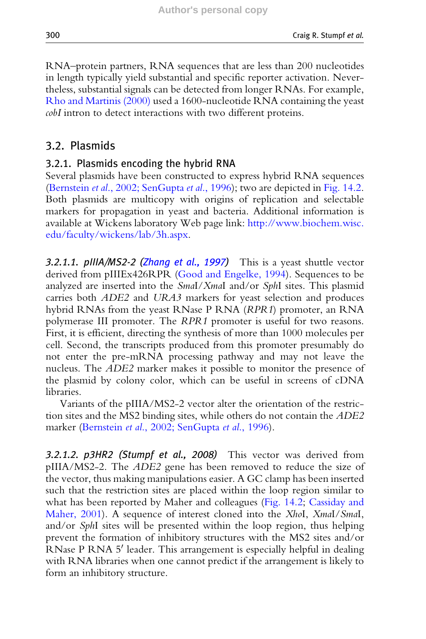RNA–protein partners, RNA sequences that are less than 200 nucleotides in length typically yield substantial and specific reporter activation. Nevertheless, substantial signals can be detected from longer RNAs. For example, [Rho and Martinis \(2000\)](#page-20-0) used a 1600-nucleotide RNA containing the yeast cobI intron to detect interactions with two different proteins.

### 3.2. Plasmids

#### 3.2.1. Plasmids encoding the hybrid RNA

Several plasmids have been constructed to express hybrid RNA sequences (Bernstein et al[., 2002; SenGupta](#page-19-0) et al., 1996); two are depicted in [Fig. 14.2](#page-4-0). Both plasmids are multicopy with origins of replication and selectable markers for propagation in yeast and bacteria. Additional information is available at Wickens laboratory Web page link: [http://www.biochem.wisc.](http://www.biochem.wisc.edu/faculty/wickens/lab/3h.aspx) [edu/faculty/wickens/lab/3h.aspx.](http://www.biochem.wisc.edu/faculty/wickens/lab/3h.aspx)

**3.2.1.1.** pIIIA/MS2-2 (*Zhang et al., 1997*) This is a yeast shuttle vector derived from pIIIEx426RPR [\(Good and Engelke, 1994\)](#page-20-0). Sequences to be analyzed are inserted into the SmaI/XmaI and/or SphI sites. This plasmid carries both ADE2 and URA3 markers for yeast selection and produces hybrid RNAs from the yeast RNase P RNA (RPR1) promoter, an RNA polymerase III promoter. The RPR1 promoter is useful for two reasons. First, it is efficient, directing the synthesis of more than 1000 molecules per cell. Second, the transcripts produced from this promoter presumably do not enter the pre-mRNA processing pathway and may not leave the nucleus. The ADE2 marker makes it possible to monitor the presence of the plasmid by colony color, which can be useful in screens of cDNA libraries.

Variants of the pIIIA/MS2-2 vector alter the orientation of the restriction sites and the MS2 binding sites, while others do not contain the ADE2 marker (Bernstein *et al.*, 2002; SenGupta *et al.*, 1996).

**3.2.1.2. p3HR2 (Stumpf et al., 2008)** This vector was derived from pIIIA/MS2-2. The ADE2 gene has been removed to reduce the size of the vector, thus making manipulations easier. A GC clamp has been inserted such that the restriction sites are placed within the loop region similar to what has been reported by Maher and colleagues [\(Fig. 14.2](#page-4-0); [Cassiday and](#page-20-0) [Maher, 2001](#page-20-0)). A sequence of interest cloned into the XhoI, XmaI/SmaI, and/or SphI sites will be presented within the loop region, thus helping prevent the formation of inhibitory structures with the MS2 sites and/or RNase P RNA 5' leader. This arrangement is especially helpful in dealing with RNA libraries when one cannot predict if the arrangement is likely to form an inhibitory structure.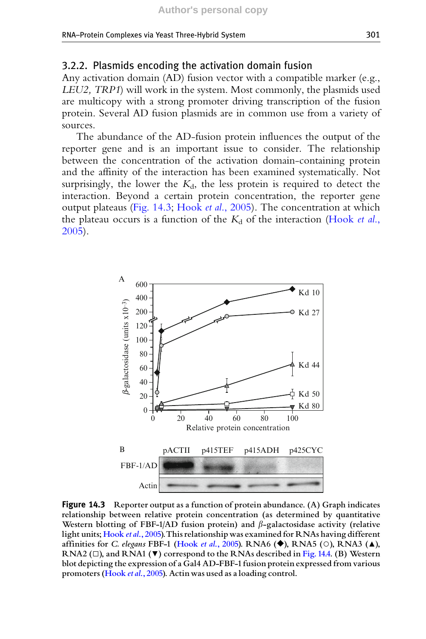#### <span id="page-7-0"></span>3.2.2. Plasmids encoding the activation domain fusion

Any activation domain (AD) fusion vector with a compatible marker (e.g., LEU2, TRP1) will work in the system. Most commonly, the plasmids used are multicopy with a strong promoter driving transcription of the fusion protein. Several AD fusion plasmids are in common use from a variety of sources.

The abundance of the AD-fusion protein influences the output of the reporter gene and is an important issue to consider. The relationship between the concentration of the activation domain-containing protein and the affinity of the interaction has been examined systematically. Not surprisingly, the lower the  $K<sub>d</sub>$ , the less protein is required to detect the interaction. Beyond a certain protein concentration, the reporter gene output plateaus (Fig. 14.3; Hook et al[., 2005\)](#page-20-0). The concentration at which the plateau occurs is a function of the  $K_d$  of the interaction [\(Hook](#page-20-0) *et al.*, [2005](#page-20-0)).



**Figure 14.3** Reporter output as a function of protein abundance. (A) Graph indicates relationship between relative protein concentration (as determined by quantitative Western blotting of FBF-1/AD fusion protein) and  $\beta$ -galactosidase activity (relative light units; Hook et al[., 2005\)](#page-20-0). This relationship was examined for RNAs having different affinities for C. elegans FBF-1 (Hook et al[., 2005\)](#page-20-0). RNA6 (♦), RNA5 (○), RNA3 (▲), RNA2 ( $\square$ ), and RNA1 ( $\nabla$ ) correspond to the RNAs described in [Fig. 14.4.](#page-10-0) (B) Western blot depicting the expression of a Gal4 AD-FBF-1 fusion protein expressed from various promoters (Hook et al[., 2005\)](#page-20-0). Actin was used as a loading control.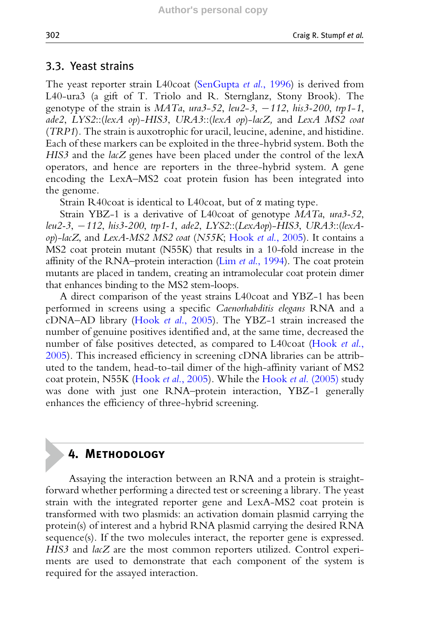#### 3.3. Yeast strains

The yeast reporter strain L40coat [\(SenGupta](#page-21-0) et al., 1996) is derived from L40-ura3 (a gift of T. Triolo and R. Sternglanz, Stony Brook). The genotype of the strain is  $MATa$ ,  $ura3-52$ ,  $leu2-3$ ,  $-112$ , his3-200, trp1-1, ade2, LYS2::(lexA op)-HIS3, URA3::(lexA op)-lacZ, and LexA MS2 coat (TRP1). The strain is auxotrophic for uracil, leucine, adenine, and histidine. Each of these markers can be exploited in the three-hybrid system. Both the  $HIS3$  and the *lacZ* genes have been placed under the control of the lexA operators, and hence are reporters in the three-hybrid system. A gene encoding the LexA–MS2 coat protein fusion has been integrated into the genome.

Strain R40coat is identical to L40coat, but of  $\alpha$  mating type.

Strain YBZ-1 is a derivative of L40coat of genotype MATa, ura3-52, leu2-3, 112, his3-200, trp1-1, ade2, LYS2::(LexAop)-HIS3, URA3::(lexAop)-lacZ, and LexA-MS2 MS2 coat (N55K; Hook et al[., 2005](#page-20-0)). It contains a MS2 coat protein mutant (N55K) that results in a 10-fold increase in the affinity of the RNA–protein interaction (Lim  $et$  al[., 1994](#page-20-0)). The coat protein mutants are placed in tandem, creating an intramolecular coat protein dimer that enhances binding to the MS2 stem-loops.

A direct comparison of the yeast strains L40coat and YBZ-1 has been performed in screens using a specific Caenorhabditis elegans RNA and a cDNA–AD library (Hook et al[., 2005\)](#page-20-0). The YBZ-1 strain increased the number of genuine positives identified and, at the same time, decreased the number of false positives detected, as compared to L40coat [\(Hook](#page-20-0) *et al.*, [2005\)](#page-20-0). This increased efficiency in screening cDNA libraries can be attributed to the tandem, head-to-tail dimer of the high-affinity variant of MS2 coat protein, N55K (Hook et al[., 2005](#page-20-0)). While the Hook et al[. \(2005\)](#page-20-0) study was done with just one RNA–protein interaction, YBZ-1 generally enhances the efficiency of three-hybrid screening.

#### 4. Methodology

Assaying the interaction between an RNA and a protein is straightforward whether performing a directed test or screening a library. The yeast strain with the integrated reporter gene and LexA-MS2 coat protein is transformed with two plasmids: an activation domain plasmid carrying the protein(s) of interest and a hybrid RNA plasmid carrying the desired RNA sequence(s). If the two molecules interact, the reporter gene is expressed.  $HIS3$  and  $lacZ$  are the most common reporters utilized. Control experiments are used to demonstrate that each component of the system is required for the assayed interaction.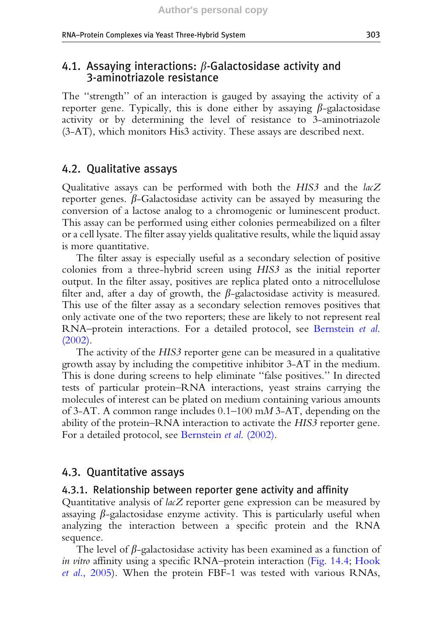#### 4.1. Assaying interactions:  $\beta$ -Galactosidase activity and 3-aminotriazole resistance

The ''strength'' of an interaction is gauged by assaying the activity of a reporter gene. Typically, this is done either by assaying  $\beta$ -galactosidase activity or by determining the level of resistance to 3-aminotriazole (3-AT), which monitors His3 activity. These assays are described next.

#### 4.2. Qualitative assays

Qualitative assays can be performed with both the HIS3 and the lacZ reporter genes.  $\beta$ -Galactosidase activity can be assayed by measuring the conversion of a lactose analog to a chromogenic or luminescent product. This assay can be performed using either colonies permeabilized on a filter or a cell lysate. The filter assay yields qualitative results, while the liquid assay is more quantitative.

The filter assay is especially useful as a secondary selection of positive colonies from a three-hybrid screen using HIS3 as the initial reporter output. In the filter assay, positives are replica plated onto a nitrocellulose filter and, after a day of growth, the  $\beta$ -galactosidase activity is measured. This use of the filter assay as a secondary selection removes positives that only activate one of the two reporters; these are likely to not represent real RNA–protein interactions. For a detailed protocol, see [Bernstein](#page-19-0) et al. [\(2002\).](#page-19-0)

The activity of the *HIS3* reporter gene can be measured in a qualitative growth assay by including the competitive inhibitor 3-AT in the medium. This is done during screens to help eliminate ''false positives.'' In directed tests of particular protein–RNA interactions, yeast strains carrying the molecules of interest can be plated on medium containing various amounts of 3-AT. A common range includes  $0.1-100$  mM 3-AT, depending on the ability of the protein–RNA interaction to activate the *HIS3* reporter gene. For a detailed protocol, see [Bernstein](#page-19-0) et al. (2002).

#### 4.3. Quantitative assays

#### 4.3.1. Relationship between reporter gene activity and affinity

Quantitative analysis of lacZ reporter gene expression can be measured by assaying  $\beta$ -galactosidase enzyme activity. This is particularly useful when analyzing the interaction between a specific protein and the RNA sequence.

The level of  $\beta$ -galactosidase activity has been examined as a function of in vitro affinity using a specific RNA–protein interaction ([Fig. 14.4;](#page-10-0) [Hook](#page-20-0) et al[., 2005](#page-20-0)). When the protein FBF-1 was tested with various RNAs,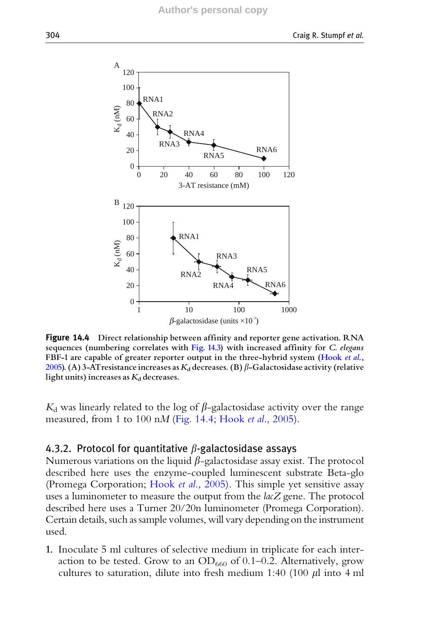<span id="page-10-0"></span>

Figure <sup>14</sup>.<sup>4</sup> Direct relationship between affinity and reporter gene activation. RNA sequences (numbering correlates with [Fig. 14.3\)](#page-7-0) with increased affinity for [C.](#page-20-0) [elegans](#page-20-0) FBF-1 are capable of greater reporter output in the three-hybrid system (Hook et al., [2005\)](#page-20-0). (A) 3-AT resistance increases as  $K_d$  decreases. (B)  $\beta$ -Galactosidase activity (relative light units) increases as  $K_d$  decreases.

 $K_d$  was linearly related to the log of  $\beta$ -galactosidase activity over the range measured, from 1 to 100 nM (Fig. 14.4; Hook et al[., 2005\)](#page-20-0).

#### 4.3.2. Protocol for quantitative  $\beta$ -galactosidase assays

Numerous variations on the liquid  $\beta$ -galactosidase assay exist. The protocol described here uses the enzyme-coupled luminescent substrate Beta-glo (Promega Corporation; Hook et al[., 2005\)](#page-20-0). This simple yet sensitive assay uses a luminometer to measure the output from the  $laZ$  gene. The protocol described here uses a Turner 20/20n luminometer (Promega Corporation). Certain details, such as sample volumes, will vary depending on the instrument used.

1. Inoculate 5 ml cultures of selective medium in triplicate for each interaction to be tested. Grow to an  $OD_{660}$  of 0.1–0.2. Alternatively, grow cultures to saturation, dilute into fresh medium 1:40 (100  $\mu$ l into 4 ml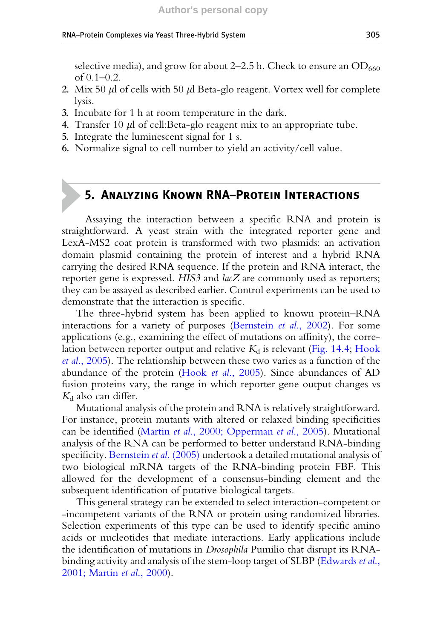selective media), and grow for about 2–2.5 h. Check to ensure an  $OD_{660}$ of  $0.1-0.2$ .

- 2. Mix 50  $\mu$ l of cells with 50  $\mu$ l Beta-glo reagent. Vortex well for complete lysis.
- 3. Incubate for 1 h at room temperature in the dark.
- 4. Transfer 10  $\mu$ l of cell: Beta-glo reagent mix to an appropriate tube.
- 5. Integrate the luminescent signal for 1 s.
- 6. Normalize signal to cell number to yield an activity/cell value.

#### 5. Analyzing Known RNA–Protein Interactions

Assaying the interaction between a specific RNA and protein is straightforward. A yeast strain with the integrated reporter gene and LexA-MS2 coat protein is transformed with two plasmids: an activation domain plasmid containing the protein of interest and a hybrid RNA carrying the desired RNA sequence. If the protein and RNA interact, the reporter gene is expressed. HIS3 and lacZ are commonly used as reporters; they can be assayed as described earlier. Control experiments can be used to demonstrate that the interaction is specific.

The three-hybrid system has been applied to known protein–RNA interactions for a variety of purposes [\(Bernstein](#page-19-0) et al., 2002). For some applications (e.g., examining the effect of mutations on affinity), the correlation between reporter output and relative  $K_d$  is relevant ([Fig. 14.4](#page-10-0); [Hook](#page-20-0) et al[., 2005](#page-20-0)). The relationship between these two varies as a function of the abundance of the protein (Hook et al[., 2005\)](#page-20-0). Since abundances of AD fusion proteins vary, the range in which reporter gene output changes vs  $K_d$  also can differ.

Mutational analysis of the protein and RNA is relatively straightforward. For instance, protein mutants with altered or relaxed binding specificities can be identified (Martin et al[., 2000; Opperman](#page-20-0) et al., 2005). Mutational analysis of the RNA can be performed to better understand RNA-binding specificity. [Bernstein](#page-19-0) et al. (2005) undertook a detailed mutational analysis of two biological mRNA targets of the RNA-binding protein FBF. This allowed for the development of a consensus-binding element and the subsequent identification of putative biological targets.

This general strategy can be extended to select interaction-competent or -incompetent variants of the RNA or protein using randomized libraries. Selection experiments of this type can be used to identify specific amino acids or nucleotides that mediate interactions. Early applications include the identification of mutations in Drosophila Pumilio that disrupt its RNA-binding activity and analysis of the stem-loop target of SLBP ([Edwards](#page-20-0) et al., [2001; Martin](#page-20-0) et al., 2000).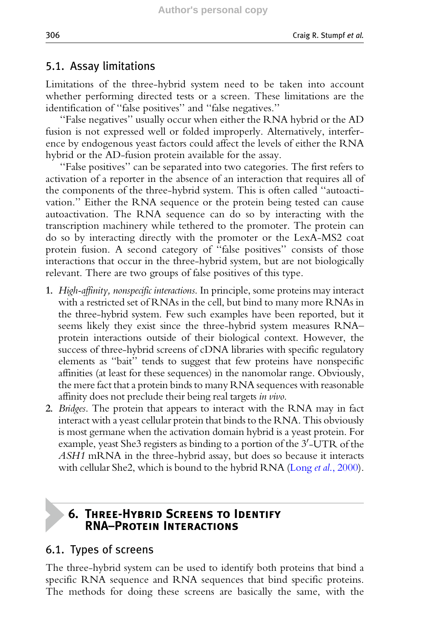### 5.1. Assay limitations

Limitations of the three-hybrid system need to be taken into account whether performing directed tests or a screen. These limitations are the identification of ''false positives'' and ''false negatives.''

''False negatives'' usually occur when either the RNA hybrid or the AD fusion is not expressed well or folded improperly. Alternatively, interference by endogenous yeast factors could affect the levels of either the RNA hybrid or the AD-fusion protein available for the assay.

''False positives'' can be separated into two categories. The first refers to activation of a reporter in the absence of an interaction that requires all of the components of the three-hybrid system. This is often called ''autoactivation.'' Either the RNA sequence or the protein being tested can cause autoactivation. The RNA sequence can do so by interacting with the transcription machinery while tethered to the promoter. The protein can do so by interacting directly with the promoter or the LexA-MS2 coat protein fusion. A second category of ''false positives'' consists of those interactions that occur in the three-hybrid system, but are not biologically relevant. There are two groups of false positives of this type.

- 1. High-affinity, nonspecific interactions. In principle, some proteins may interact with a restricted set of RNAs in the cell, but bind to many more RNAs in the three-hybrid system. Few such examples have been reported, but it seems likely they exist since the three-hybrid system measures RNA– protein interactions outside of their biological context. However, the success of three-hybrid screens of cDNA libraries with specific regulatory elements as ''bait'' tends to suggest that few proteins have nonspecific affinities (at least for these sequences) in the nanomolar range. Obviously, the mere fact that a protein binds to many RNA sequences with reasonable affinity does not preclude their being real targets in vivo.
- 2. Bridges. The protein that appears to interact with the RNA may in fact interact with a yeast cellular protein that binds to the RNA. This obviously is most germane when the activation domain hybrid is a yeast protein. For example, yeast She3 registers as binding to a portion of the 3'-UTR of the ASH1 mRNA in the three-hybrid assay, but does so because it interacts with cellular She2, which is bound to the hybrid RNA (Long *et al.*, 2000).

### 6. Three-Hybrid Screens to Identify RNA–Protein Interactions

### 6.1. Types of screens

The three-hybrid system can be used to identify both proteins that bind a specific RNA sequence and RNA sequences that bind specific proteins. The methods for doing these screens are basically the same, with the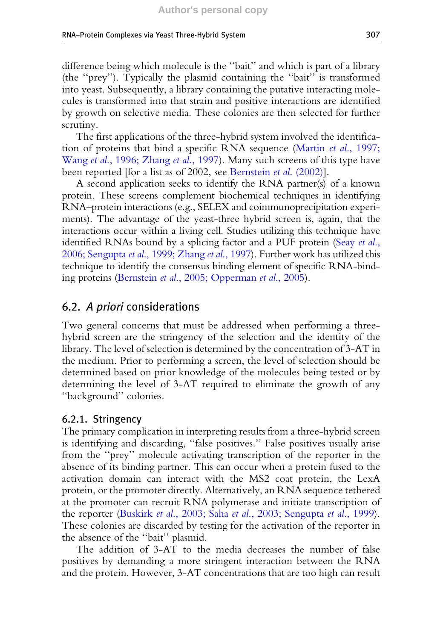difference being which molecule is the ''bait'' and which is part of a library (the ''prey''). Typically the plasmid containing the ''bait'' is transformed into yeast. Subsequently, a library containing the putative interacting molecules is transformed into that strain and positive interactions are identified by growth on selective media. These colonies are then selected for further scrutiny.

The first applications of the three-hybrid system involved the identification of proteins that bind a specific RNA sequence (Martin et al[., 1997;](#page-20-0) Wang *et al.*, 1996; Zhang *et al.*, 1997). Many such screens of this type have been reported [for a list as of 2002, see [Bernstein](#page-19-0) et al. (2002)].

A second application seeks to identify the RNA partner(s) of a known protein. These screens complement biochemical techniques in identifying RNA–protein interactions (e.g., SELEX and coimmunoprecipitation experiments). The advantage of the yeast-three hybrid screen is, again, that the interactions occur within a living cell. Studies utilizing this technique have identified RNAs bound by a splicing factor and a PUF protein ([Seay](#page-21-0) et al., [2006; Sengupta](#page-21-0) et al., 1999; Zhang et al., 1997). Further work has utilized this technique to identify the consensus binding element of specific RNA-binding proteins (Bernstein *et al.*, 2005; Opperman *et al.*, 2005).

### 6.2. A priori considerations

Two general concerns that must be addressed when performing a threehybrid screen are the stringency of the selection and the identity of the library. The level of selection is determined by the concentration of 3-AT in the medium. Prior to performing a screen, the level of selection should be determined based on prior knowledge of the molecules being tested or by determining the level of 3-AT required to eliminate the growth of any ''background'' colonies.

#### 6.2.1. Stringency

The primary complication in interpreting results from a three-hybrid screen is identifying and discarding, ''false positives.'' False positives usually arise from the ''prey'' molecule activating transcription of the reporter in the absence of its binding partner. This can occur when a protein fused to the activation domain can interact with the MS2 coat protein, the LexA protein, or the promoter directly. Alternatively, an RNA sequence tethered at the promoter can recruit RNA polymerase and initiate transcription of the reporter (Buskirk et al., 2003; Saha et al[., 2003; Sengupta](#page-20-0) et al., 1999). These colonies are discarded by testing for the activation of the reporter in the absence of the ''bait'' plasmid.

The addition of 3-AT to the media decreases the number of false positives by demanding a more stringent interaction between the RNA and the protein. However, 3-AT concentrations that are too high can result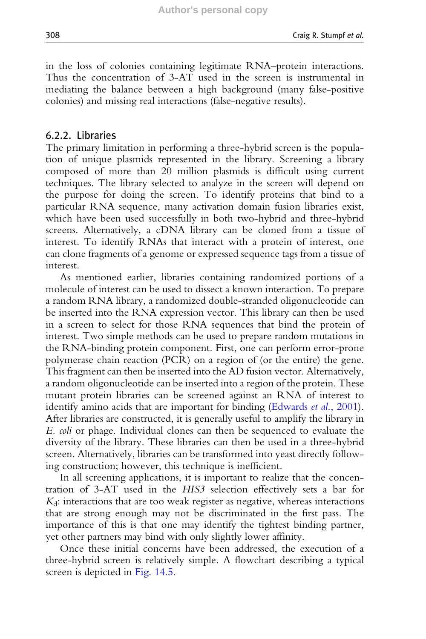in the loss of colonies containing legitimate RNA–protein interactions. Thus the concentration of 3-AT used in the screen is instrumental in mediating the balance between a high background (many false-positive colonies) and missing real interactions (false-negative results).

#### 6.2.2. Libraries

The primary limitation in performing a three-hybrid screen is the population of unique plasmids represented in the library. Screening a library composed of more than 20 million plasmids is difficult using current techniques. The library selected to analyze in the screen will depend on the purpose for doing the screen. To identify proteins that bind to a particular RNA sequence, many activation domain fusion libraries exist, which have been used successfully in both two-hybrid and three-hybrid screens. Alternatively, a cDNA library can be cloned from a tissue of interest. To identify RNAs that interact with a protein of interest, one can clone fragments of a genome or expressed sequence tags from a tissue of interest.

As mentioned earlier, libraries containing randomized portions of a molecule of interest can be used to dissect a known interaction. To prepare a random RNA library, a randomized double-stranded oligonucleotide can be inserted into the RNA expression vector. This library can then be used in a screen to select for those RNA sequences that bind the protein of interest. Two simple methods can be used to prepare random mutations in the RNA-binding protein component. First, one can perform error-prone polymerase chain reaction (PCR) on a region of (or the entire) the gene. This fragment can then be inserted into the AD fusion vector. Alternatively, a random oligonucleotide can be inserted into a region of the protein. These mutant protein libraries can be screened against an RNA of interest to identify amino acids that are important for binding [\(Edwards](#page-20-0) *et al.*, 2001). After libraries are constructed, it is generally useful to amplify the library in E. coli or phage. Individual clones can then be sequenced to evaluate the diversity of the library. These libraries can then be used in a three-hybrid screen. Alternatively, libraries can be transformed into yeast directly following construction; however, this technique is inefficient.

In all screening applications, it is important to realize that the concentration of 3-AT used in the HIS3 selection effectively sets a bar for  $K_d$ : interactions that are too weak register as negative, whereas interactions that are strong enough may not be discriminated in the first pass. The importance of this is that one may identify the tightest binding partner, yet other partners may bind with only slightly lower affinity.

Once these initial concerns have been addressed, the execution of a three-hybrid screen is relatively simple. A flowchart describing a typical screen is depicted in [Fig. 14.5.](#page-15-0)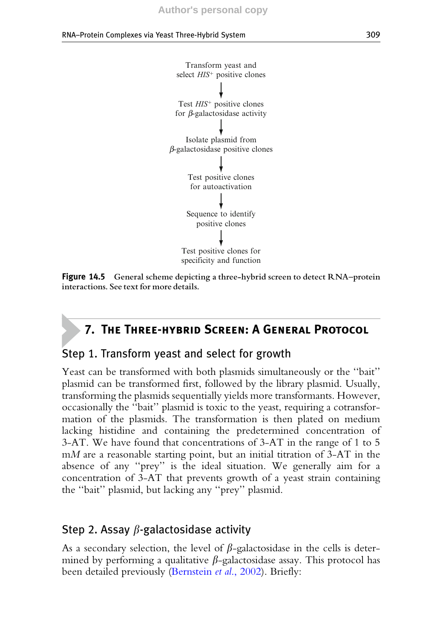<span id="page-15-0"></span>

Figure 14.5 General scheme depicting a three-hybrid screen to detect RNA-protein interactions. See text for more details.

# 7. The Three-hybrid Screen: A General Protocol

### Step 1. Transform yeast and select for growth

Yeast can be transformed with both plasmids simultaneously or the ''bait'' plasmid can be transformed first, followed by the library plasmid. Usually, transforming the plasmids sequentially yields more transformants. However, occasionally the ''bait'' plasmid is toxic to the yeast, requiring a cotransformation of the plasmids. The transformation is then plated on medium lacking histidine and containing the predetermined concentration of 3-AT. We have found that concentrations of 3-AT in the range of 1 to 5  $mM$  are a reasonable starting point, but an initial titration of 3-AT in the absence of any ''prey'' is the ideal situation. We generally aim for a concentration of 3-AT that prevents growth of a yeast strain containing the ''bait'' plasmid, but lacking any ''prey'' plasmid.

### Step 2. Assay  $\beta$ -galactosidase activity

As a secondary selection, the level of  $\beta$ -galactosidase in the cells is determined by performing a qualitative  $\beta$ -galactosidase assay. This protocol has been detailed previously [\(Bernstein](#page-19-0) et al., 2002). Briefly: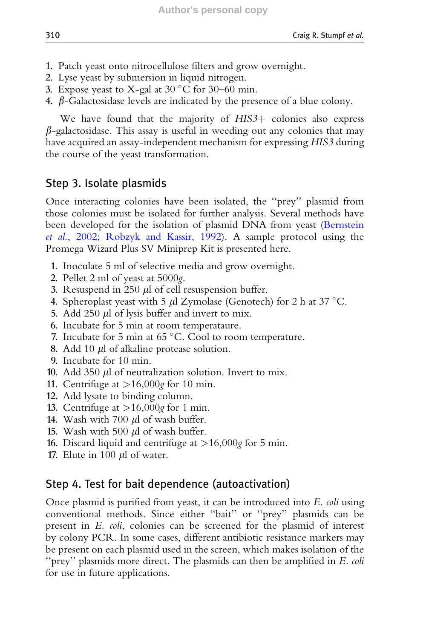- 1. Patch yeast onto nitrocellulose filters and grow overnight.
- 2. Lyse yeast by submersion in liquid nitrogen.
- 3. Expose yeast to X-gal at  $30^{\circ}$ C for  $30-60$  min.
- 4.  $\beta$ -Galactosidase levels are indicated by the presence of a blue colony.

We have found that the majority of  $HIS3+$  colonies also express  $\beta$ -galactosidase. This assay is useful in weeding out any colonies that may have acquired an assay-independent mechanism for expressing HIS3 during the course of the yeast transformation.

## Step 3. Isolate plasmids

Once interacting colonies have been isolated, the ''prey'' plasmid from those colonies must be isolated for further analysis. Several methods have been developed for the isolation of plasmid DNA from yeast [\(Bernstein](#page-19-0) et al[., 2002; Robzyk and Kassir, 1992](#page-19-0)). A sample protocol using the Promega Wizard Plus SV Miniprep Kit is presented here.

- 1. Inoculate 5 ml of selective media and grow overnight.
- 2. Pellet 2 ml of yeast at 5000g.
- 3. Resuspend in 250  $\mu$ l of cell resuspension buffer.
- 4. Spheroplast yeast with 5  $\mu$ l Zymolase (Genotech) for 2 h at 37 °C.
- 5. Add 250  $\mu$ l of lysis buffer and invert to mix.
- 6. Incubate for 5 min at room temperataure.
- 7. Incubate for 5 min at  $65^{\circ}$ C. Cool to room temperature.
- 8. Add 10  $\mu$ l of alkaline protease solution.
- 9. Incubate for 10 min.
- 10. Add 350  $\mu$ l of neutralization solution. Invert to mix.
- 11. Centrifuge at  $>16,000g$  for 10 min.
- 12. Add lysate to binding column.
- 13. Centrifuge at  $>16,000g$  for 1 min.
- 14. Wash with 700  $\mu$ l of wash buffer.
- 15. Wash with 500  $\mu$ l of wash buffer.
- 16. Discard liquid and centrifuge at  $>16,000g$  for 5 min.
- 17. Elute in 100  $\mu$ l of water.

# Step 4. Test for bait dependence (autoactivation)

Once plasmid is purified from yeast, it can be introduced into E. coli using conventional methods. Since either ''bait'' or ''prey'' plasmids can be present in E. coli, colonies can be screened for the plasmid of interest by colony PCR. In some cases, different antibiotic resistance markers may be present on each plasmid used in the screen, which makes isolation of the "prey" plasmids more direct. The plasmids can then be amplified in E. coli for use in future applications.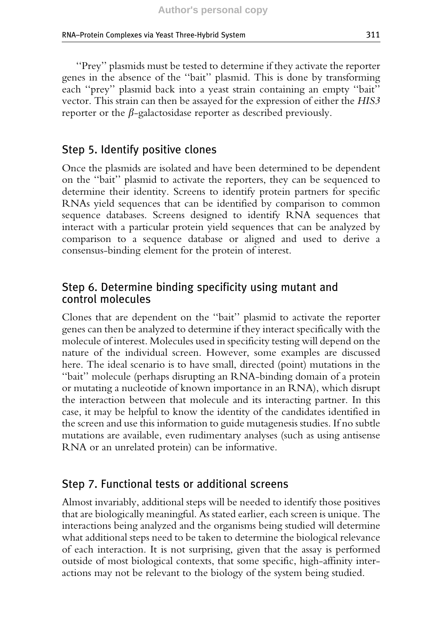''Prey'' plasmids must be tested to determine if they activate the reporter genes in the absence of the ''bait'' plasmid. This is done by transforming each ''prey'' plasmid back into a yeast strain containing an empty ''bait'' vector. This strain can then be assayed for the expression of either the HIS3 reporter or the  $\beta$ -galactosidase reporter as described previously.

#### Step 5. Identify positive clones

Once the plasmids are isolated and have been determined to be dependent on the ''bait'' plasmid to activate the reporters, they can be sequenced to determine their identity. Screens to identify protein partners for specific RNAs yield sequences that can be identified by comparison to common sequence databases. Screens designed to identify RNA sequences that interact with a particular protein yield sequences that can be analyzed by comparison to a sequence database or aligned and used to derive a consensus-binding element for the protein of interest.

#### Step 6. Determine binding specificity using mutant and control molecules

Clones that are dependent on the ''bait'' plasmid to activate the reporter genes can then be analyzed to determine if they interact specifically with the molecule of interest. Molecules used in specificity testing will depend on the nature of the individual screen. However, some examples are discussed here. The ideal scenario is to have small, directed (point) mutations in the ''bait'' molecule (perhaps disrupting an RNA-binding domain of a protein or mutating a nucleotide of known importance in an RNA), which disrupt the interaction between that molecule and its interacting partner. In this case, it may be helpful to know the identity of the candidates identified in the screen and use this information to guide mutagenesis studies. If no subtle mutations are available, even rudimentary analyses (such as using antisense RNA or an unrelated protein) can be informative.

### Step 7. Functional tests or additional screens

Almost invariably, additional steps will be needed to identify those positives that are biologically meaningful. As stated earlier, each screen is unique. The interactions being analyzed and the organisms being studied will determine what additional steps need to be taken to determine the biological relevance of each interaction. It is not surprising, given that the assay is performed outside of most biological contexts, that some specific, high-affinity interactions may not be relevant to the biology of the system being studied.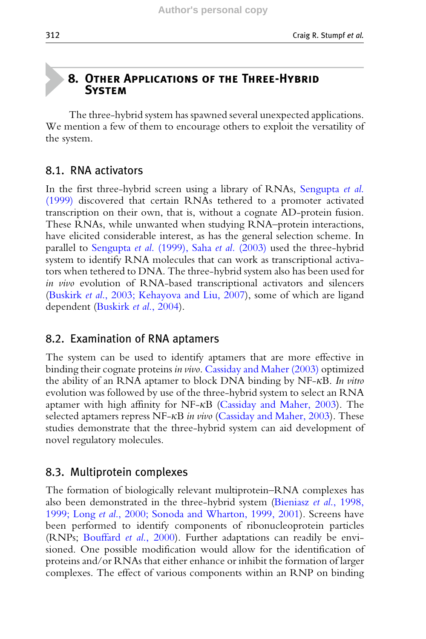### 8. Other Applications of the Three-Hybrid **SYSTEM**

The three-hybrid system has spawned several unexpected applications. We mention a few of them to encourage others to exploit the versatility of the system.

### 8.1. RNA activators

In the first three-hybrid screen using a library of RNAs, [Sengupta](#page-21-0) et al. [\(1999\)](#page-21-0) discovered that certain RNAs tethered to a promoter activated transcription on their own, that is, without a cognate AD-protein fusion. These RNAs, while unwanted when studying RNA–protein interactions, have elicited considerable interest, as has the general selection scheme. In parallel to Sengupta et al[. \(1999\), Saha](#page-21-0) et al. (2003) used the three-hybrid system to identify RNA molecules that can work as transcriptional activators when tethered to DNA. The three-hybrid system also has been used for in vivo evolution of RNA-based transcriptional activators and silencers (Buskirk et al[., 2003; Kehayova and Liu, 2007](#page-20-0)), some of which are ligand dependent [\(Buskirk](#page-20-0) et al., 2004).

### 8.2. Examination of RNA aptamers

The system can be used to identify aptamers that are more effective in binding their cognate proteins in vivo. [Cassiday and Maher \(2003\)](#page-20-0) optimized the ability of an RNA aptamer to block DNA binding by  $NF-\kappa B$ . In vitro evolution was followed by use of the three-hybrid system to select an RNA aptamer with high affinity for NF- $\kappa$ B [\(Cassiday and Maher, 2003\)](#page-20-0). The selected aptamers repress  $NF-\kappa B$  in vivo [\(Cassiday and Maher, 2003](#page-20-0)). These studies demonstrate that the three-hybrid system can aid development of novel regulatory molecules.

### 8.3. Multiprotein complexes

The formation of biologically relevant multiprotein–RNA complexes has also been demonstrated in the three-hybrid system [\(Bieniasz](#page-19-0) et al., 1998, 1999; Long et al[., 2000; Sonoda and Wharton, 1999, 2001\)](#page-19-0). Screens have been performed to identify components of ribonucleoprotein particles (RNPs; [Bouffard](#page-20-0) et al., 2000). Further adaptations can readily be envisioned. One possible modification would allow for the identification of proteins and/or RNAs that either enhance or inhibit the formation of larger complexes. The effect of various components within an RNP on binding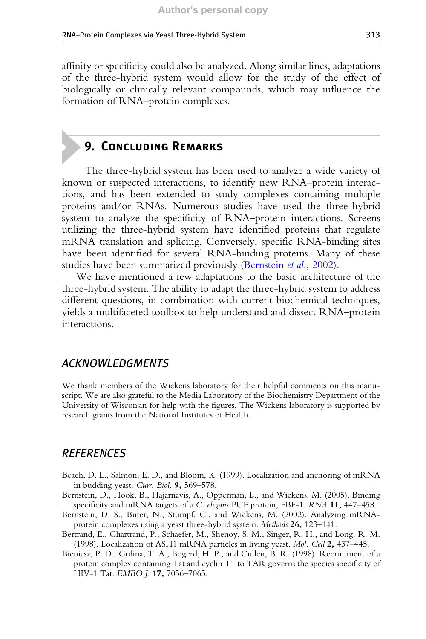<span id="page-19-0"></span>affinity or specificity could also be analyzed. Along similar lines, adaptations of the three-hybrid system would allow for the study of the effect of biologically or clinically relevant compounds, which may influence the formation of RNA–protein complexes.

### 9. Concluding Remarks

The three-hybrid system has been used to analyze a wide variety of known or suspected interactions, to identify new RNA–protein interactions, and has been extended to study complexes containing multiple proteins and/or RNAs. Numerous studies have used the three-hybrid system to analyze the specificity of RNA–protein interactions. Screens utilizing the three-hybrid system have identified proteins that regulate mRNA translation and splicing. Conversely, specific RNA-binding sites have been identified for several RNA-binding proteins. Many of these studies have been summarized previously (Bernstein *et al.*, 2002).

We have mentioned a few adaptations to the basic architecture of the three-hybrid system. The ability to adapt the three-hybrid system to address different questions, in combination with current biochemical techniques, yields a multifaceted toolbox to help understand and dissect RNA–protein interactions.

#### ACKNOWLEDGMENTS

We thank members of the Wickens laboratory for their helpful comments on this manuscript. We are also grateful to the Media Laboratory of the Biochemistry Department of the University of Wisconsin for help with the figures. The Wickens laboratory is supported by research grants from the National Institutes of Health.

#### **REFERENCES**

- Beach, D. L., Salmon, E. D., and Bloom, K. (1999). Localization and anchoring of mRNA in budding yeast. Curr. Biol. 9, 569–578.
- Bernstein, D., Hook, B., Hajarnavis, A., Opperman, L., and Wickens, M. (2005). Binding specificity and mRNA targets of a C. elegans PUF protein, FBF-1. RNA 11, 447-458.
- Bernstein, D. S., Buter, N., Stumpf, C., and Wickens, M. (2002). Analyzing mRNAprotein complexes using a yeast three-hybrid system. Methods 26, 123–141.
- Bertrand, E., Chartrand, P., Schaefer, M., Shenoy, S. M., Singer, R. H., and Long, R. M. (1998). Localization of ASH1 mRNA particles in living yeast. Mol. Cell 2, 437–445.
- Bieniasz, P. D., Grdina, T. A., Bogerd, H. P., and Cullen, B. R. (1998). Recruitment of a protein complex containing Tat and cyclin T1 to TAR governs the species specificity of HIV-1 Tat. EMBO J. 17, 7056–7065.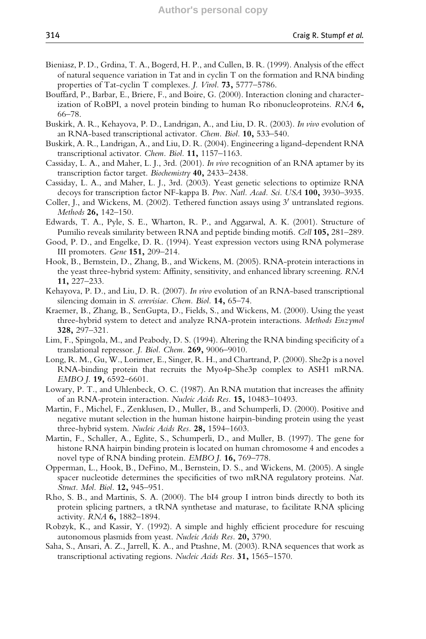- <span id="page-20-0"></span>Bieniasz, P. D., Grdina, T. A., Bogerd, H. P., and Cullen, B. R. (1999). Analysis of the effect of natural sequence variation in Tat and in cyclin T on the formation and RNA binding properties of Tat-cyclin T complexes. J. Virol. 73, 5777–5786.
- Bouffard, P., Barbar, E., Briere, F., and Boire, G. (2000). Interaction cloning and characterization of RoBPI, a novel protein binding to human Ro ribonucleoproteins. RNA 6, 66–78.
- Buskirk, A. R., Kehayova, P. D., Landrigan, A., and Liu, D. R. (2003). In vivo evolution of an RNA-based transcriptional activator. Chem. Biol. 10, 533–540.
- Buskirk, A. R., Landrigan, A., and Liu, D. R. (2004). Engineering a ligand-dependent RNA transcriptional activator. Chem. Biol. 11, 1157–1163.
- Cassiday, L. A., and Maher, L. J., 3rd. (2001). In vivo recognition of an RNA aptamer by its transcription factor target. Biochemistry 40, 2433–2438.
- Cassiday, L. A., and Maher, L. J., 3rd. (2003). Yeast genetic selections to optimize RNA decoys for transcription factor NF-kappa B. Proc. Natl. Acad. Sci. USA 100, 3930–3935.
- Coller, J., and Wickens, M. (2002). Tethered function assays using  $3'$  untranslated regions. Methods 26, 142–150.
- Edwards, T. A., Pyle, S. E., Wharton, R. P., and Aggarwal, A. K. (2001). Structure of Pumilio reveals similarity between RNA and peptide binding motifs. Cell 105, 281–289.
- Good, P. D., and Engelke, D. R. (1994). Yeast expression vectors using RNA polymerase III promoters. Gene 151, 209–214.
- Hook, B., Bernstein, D., Zhang, B., and Wickens, M. (2005). RNA-protein interactions in the yeast three-hybrid system: Affinity, sensitivity, and enhanced library screening. RNA 11, 227–233.
- Kehayova, P. D., and Liu, D. R. (2007). In vivo evolution of an RNA-based transcriptional silencing domain in S. cerevisiae. Chem. Biol. 14, 65-74.
- Kraemer, B., Zhang, B., SenGupta, D., Fields, S., and Wickens, M. (2000). Using the yeast three-hybrid system to detect and analyze RNA-protein interactions. Methods Enzymol 328, 297–321.
- Lim, F., Spingola, M., and Peabody, D. S. (1994). Altering the RNA binding specificity of a translational repressor. J. Biol. Chem. 269, 9006–9010.
- Long, R. M., Gu, W., Lorimer, E., Singer, R. H., and Chartrand, P. (2000). She2p is a novel RNA-binding protein that recruits the Myo4p-She3p complex to ASH1 mRNA. EMBO J. 19, 6592–6601.
- Lowary, P. T., and Uhlenbeck, O. C. (1987). An RNA mutation that increases the affinity of an RNA-protein interaction. Nucleic Acids Res. 15, 10483–10493.
- Martin, F., Michel, F., Zenklusen, D., Muller, B., and Schumperli, D. (2000). Positive and negative mutant selection in the human histone hairpin-binding protein using the yeast three-hybrid system. Nucleic Acids Res. 28, 1594-1603.
- Martin, F., Schaller, A., Eglite, S., Schumperli, D., and Muller, B. (1997). The gene for histone RNA hairpin binding protein is located on human chromosome 4 and encodes a novel type of RNA binding protein. EMBO J. 16, 769–778.
- Opperman, L., Hook, B., DeFino, M., Bernstein, D. S., and Wickens, M. (2005). A single spacer nucleotide determines the specificities of two mRNA regulatory proteins. Nat. Struct. Mol. Biol. 12, 945–951.
- Rho, S. B., and Martinis, S. A. (2000). The bI4 group I intron binds directly to both its protein splicing partners, a tRNA synthetase and maturase, to facilitate RNA splicing activity. RNA 6, 1882–1894.
- Robzyk, K., and Kassir, Y. (1992). A simple and highly efficient procedure for rescuing autonomous plasmids from yeast. Nucleic Acids Res. 20, 3790.
- Saha, S., Ansari, A. Z., Jarrell, K. A., and Ptashne, M. (2003). RNA sequences that work as transcriptional activating regions. Nucleic Acids Res. 31, 1565–1570.